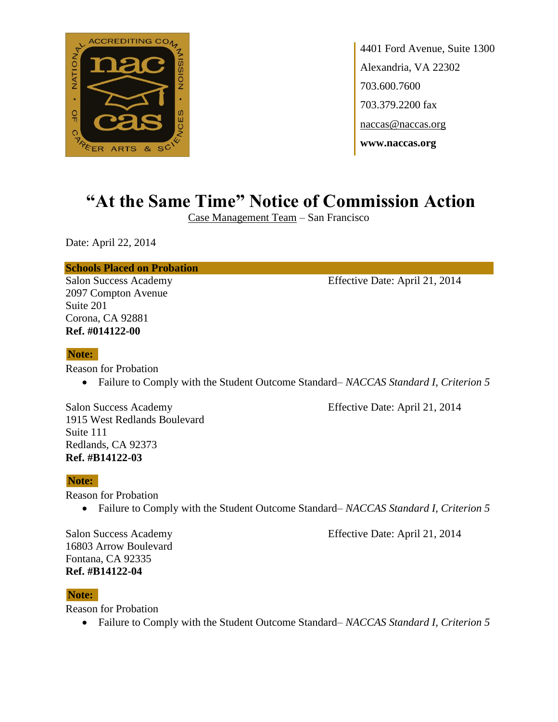

4401 Ford Avenue, Suite 1300 Alexandria, VA 22302 703.600.7600 703.379.2200 fax naccas@naccas.org **www.naccas.org**

# **"At the Same Time" Notice of Commission Action**

Case Management Team – San Francisco

Date: April 22, 2014

**Schools Placed on Probation**

2097 Compton Avenue Suite 201 Corona, CA 92881 **Ref. #014122-00**

Salon Success Academy Effective Date: April 21, 2014

#### **Note:**

Reason for Probation

Failure to Comply with the Student Outcome Standard– *NACCAS Standard I, Criterion 5*

Salon Success Academy Effective Date: April 21, 2014 1915 West Redlands Boulevard Suite 111 Redlands, CA 92373 **Ref. #B14122-03**

#### **Note:**

Reason for Probation

Failure to Comply with the Student Outcome Standard– *NACCAS Standard I, Criterion 5*

16803 Arrow Boulevard Fontana, CA 92335 **Ref. #B14122-04**

Salon Success Academy Effective Date: April 21, 2014

**Note:**

Reason for Probation

Failure to Comply with the Student Outcome Standard– *NACCAS Standard I, Criterion 5*